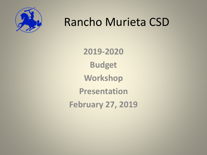

## Rancho Murieta CSD

**2019-2020 Budget Workshop Presentation February 27, 2019**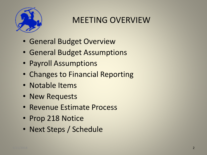

### MEETING OVERVIEW

- General Budget Overview
- General Budget Assumptions
- Payroll Assumptions
- Changes to Financial Reporting
- Notable Items
- New Requests
- Revenue Estimate Process
- Prop 218 Notice
- Next Steps / Schedule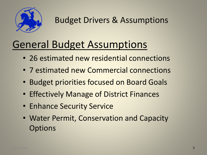

## General Budget Assumptions

- 26 estimated new residential connections
- 7 estimated new Commercial connections
- Budget priorities focused on Board Goals
- Effectively Manage of District Finances
- Enhance Security Service
- Water Permit, Conservation and Capacity **Options**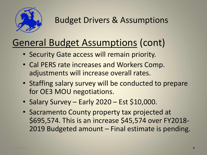

## General Budget Assumptions (cont)

- Security Gate access will remain priority.
- Cal PERS rate increases and Workers Comp. adjustments will increase overall rates.
- Staffing salary survey will be conducted to prepare for OE3 MOU negotiations.
- Salary Survey Early 2020 Est \$10,000.
- Sacramento County property tax projected at \$695,574. This is an increase \$45,574 over FY2018- 2019 Budgeted amount – Final estimate is pending.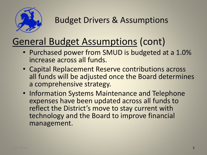

## General Budget Assumptions (cont)

- Purchased power from SMUD is budgeted at a 1.0% increase across all funds.
- Capital Replacement Reserve contributions across all funds will be adjusted once the Board determines a comprehensive strategy.
- Information Systems Maintenance and Telephone expenses have been updated across all funds to reflect the District's move to stay current with technology and the Board to improve financial management.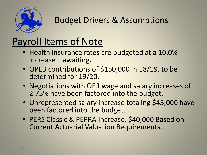

### Budget Drivers & Assumptions

## Payroll Items of Note

- Health insurance rates are budgeted at a 10.0% increase – awaiting.
- OPEB contributions of \$150,000 in 18/19, to be determined for 19/20.
- Negotiations with OE3 wage and salary increases of 2.75% have been factored into the budget.
- Unrepresented salary increase totaling \$45,000 have been factored into the budget.
- PERS Classic & PEPRA Increase, \$40,000 Based on Current Actuarial Valuation Requirements.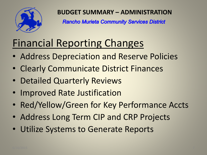

**BUDGET SUMMARY – ADMINISTRATION**

**Rancho Murieta Community Services District** 

# Financial Reporting Changes

- Address Depreciation and Reserve Policies
- Clearly Communicate District Finances
- Detailed Quarterly Reviews
- Improved Rate Justification
- Red/Yellow/Green for Key Performance Accts
- Address Long Term CIP and CRP Projects
- Utilize Systems to Generate Reports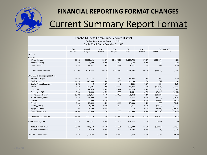

### Current Summary Report Format **FINANCIAL REPORTING FORMAT CHANGES**

|                                          |                          |                         | Rancho Murieta Community Services District |                             |                       |                          |             |                             |  |
|------------------------------------------|--------------------------|-------------------------|--------------------------------------------|-----------------------------|-----------------------|--------------------------|-------------|-----------------------------|--|
|                                          |                          |                         | <b>Budget Performance Report by FUND</b>   |                             |                       |                          |             |                             |  |
|                                          |                          |                         | For the Month Ending December 31, 2018     |                             |                       |                          |             |                             |  |
|                                          |                          |                         |                                            |                             |                       |                          |             |                             |  |
|                                          | % of<br><b>Total Rev</b> | Annual<br><b>Budget</b> | % of<br><b>Total Rev</b>                   | <b>YTD</b><br><b>Budget</b> | <b>YTD</b><br>Actuals | % of<br><b>Total Rev</b> | Amount      | <b>YTD VARIANCE</b><br>$\%$ |  |
| <b>WATER</b>                             |                          |                         |                                            |                             |                       |                          |             |                             |  |
| <b>REVENUES</b>                          |                          |                         |                                            |                             |                       |                          |             |                             |  |
| <b>Water Charges</b>                     | 98.3%                    | \$2,180,141             | 98.6%                                      | \$1,247,319                 | \$1,207,702           | 97.5%                    | ( \$39,617) | (3.2%)                      |  |
| <b>Interest Earnings</b>                 | 0.2%                     | 4,700                   | 0.1%                                       | 1,100                       | 1,127                 | 0.1%                     | 27          | 2.4%                        |  |
| Other Income                             | 1.5%                     | 33,521                  | 1.3%                                       | 16,761                      | 29,377                | 2.4%                     | 12,617      | 75.3%                       |  |
|                                          |                          |                         |                                            |                             |                       |                          |             |                             |  |
| <b>Total Water Revenues</b>              | 100.0%                   | 2,218,362               | 100.0%                                     | 1,265,180                   | 1,238,206             | 100.0%                   | (26, 974)   | (2.1%)                      |  |
| <b>EXPENSES</b> (excluding depreciation) |                          |                         |                                            |                             |                       |                          |             |                             |  |
| Salaries & Wages                         | 25.8%                    | 572,778                 | 22.0%                                      | 278,694                     | 293,054               | 23.7%                    | 14,360      | 5.2%                        |  |
| <b>Employer Costs</b>                    | 11.1%                    | 247,005                 | 9.4%                                       | 119,190                     | 123,163               | 9.9%                     | 3,972       | 3.3%                        |  |
| Capital Project Labor Alloc              | 0.0%                     | $\mathbf 0$             | 0.0%                                       | $\mathbf{0}$                | (155)                 | 0.0%                     | (155)       | 0.0%                        |  |
| Power                                    | 8.7%                     | 193,401                 | 7.1%                                       | 89,650                      | 59,974                | 4.8%                     | (29, 676)   | (33.1%)                     |  |
| Chemicals                                | 4.4%                     | 96,636                  | 4.1%                                       | 51,318                      | 50,389                | 4.1%                     | (929)       | (1.8%)                      |  |
| Chemicals - T&O                          | 0.5%                     | 10,000                  | 0.4%                                       | 5,500                       | 2,661                 | 0.2%                     | (2,839)     | (51.6%)                     |  |
| Maintenance/Repairs                      | 10.0%                    | 220,814                 | 8.7%                                       | 110,400                     | 75,842                | 6.1%                     | (34, 558)   | (31.3%)                     |  |
| Water Meters/Boxes                       | 1.6%                     | 36,000                  | 1.4%                                       | 18,000                      | 10,677                | 0.9%                     | (7, 323)    | (40.7%)                     |  |
| Lab Tests                                | 0.8%                     | 17,000                  | 0.6%                                       | 8,000                       | 3,996                 | 0.3%                     | (4,004)     | $(50.0\%)$                  |  |
| Permits                                  | 1.3%                     | 28,044                  | 1.1%                                       | 14,444                      | 25,803                | 2.1%                     | 11,359      | 78.6%                       |  |
| Training/Safety                          | 0.4%                     | 8,100                   | 0.4%                                       | 5,100                       | 2,466                 | 0.2%                     | (2,634)     | (51.7%)                     |  |
| <b>Equipment Rental</b>                  | 0.6%                     | 13,800                  | 0.4%                                       | 5,400                       | $\mathbf 0$           | 0.0%                     | (5,400)     | $(100.0\%)$                 |  |
| <b>Other Direct Costs</b>                | 14.8%                    | 327,598                 | 17.5%                                      | 221,580                     | 181,460               | 14.7%                    | (40, 120)   | (18.1%)                     |  |
|                                          |                          |                         |                                            |                             |                       |                          |             |                             |  |
| <b>Operational Expenses</b>              | 79.8%                    | 1,771,175               | 73.3%                                      | 927,276                     | 829,331               | 67.0%                    | (97, 945)   | (10.6%)                     |  |
| Water Income (Loss)                      | 20.2%                    | 447,187                 | 26.7%                                      | 337,904                     | 408,875               | 33.0%                    | 70,971      | 21.0%                       |  |
| 38.9% Net Admin Alloc                    | 20.8%                    | 461,159                 | 18.7%                                      | 236,591                     | 172,709               | 13.9%                    | (63, 882)   | (27.0%)                     |  |
| <b>Reserve Expenditures</b>              | 0.8%                     | 18,619                  | 0.7%                                       | 8,624                       | 8,394                 | 0.7%                     | (230)       | (2.7%)                      |  |
| Total Net Income (Loss)                  | $-1.5%$                  | (32, 591)               | 7.3%                                       | 92,689                      | 227,772               | 18.4%                    | 135,084     | 145.7%                      |  |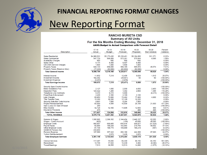

#### **FINANCIAL REPORTING FORMAT CHANGES**

### New Reporting Format

#### **RANCHO MURIETA CSD Summary of All Units** For the Six Months Ending Monday, December 31, 2018 AASG.Budget to Actual Comparison with Forecast Detail

|        | <b>Description</b>              | $17-18$<br>Actual | 18-19<br><b>Budget</b> | 18-19<br>Forecast | 19-20<br>Proposed | 19-20<br><b>Bud Variance</b> | Percent<br>Variance |  |
|--------|---------------------------------|-------------------|------------------------|-------------------|-------------------|------------------------------|---------------------|--|
|        | <b>Sales Residential</b>        | \$4,968,521       | \$5,173,430            | \$5,138,481       | \$5,184,800       | \$11,371                     | 0.22%               |  |
|        | <b>Sales Commercial</b>         | 547,729           | 566,859                | 573,381           | 575,844           | 8,985                        | 1.58%               |  |
|        | <b>Availability Charges</b>     | 660               | 680                    | 680               | 680               |                              | $0.00\%$            |  |
|        | Sales Other                     | 9.171             | 8,400                  | 8,407             | 8,400             |                              | 0.00%               |  |
|        | CIA Ditch Service Charges       | 1,800             | 1,800                  | 1,800             | 1,800             |                              | $0.00\%$            |  |
|        | <b>Property Taxes</b>           | 648,133           | 650,000                | 599,165           | 695,574           | 45,574                       | 7.01%               |  |
|        | Property Taxes (Reserve Alloc)  | (77, 220)         | (82,000)               | (82,002)          | (82,000)          |                              | $0.00\%$            |  |
|        | <b>Total General Income</b>     | 6,098,794         | 6,319,169              | 6,239,911         | 6,385,098         | 65,929                       | 1.04%               |  |
|        |                                 |                   |                        |                   |                   |                              |                     |  |
|        | Interest Income                 | 11,932            | 7,219                  | 12,400            | 9,029             | 1,810                        | 25.07%              |  |
|        | Investment Income               | 102,392           |                        | (35, 901)         | 60                | 60                           | $(100.00\%)$        |  |
|        | <b>Investment Expense</b>       | (5,251)           |                        | (1,970)           |                   |                              | $(100.00\%)$        |  |
|        | <b>Total Earnings Income</b>    | 109,073           | 7,219                  | (25, 471)         | 9,089             | 1,870                        | 25.90%              |  |
|        | Security Spec Events Income     |                   |                        |                   |                   |                              | $(100.00\%)$        |  |
|        | <b>Meter Installation Fee</b>   | 2,127             | 1,600                  | 2.000             | 4,000             | 2.400                        | 150.00%             |  |
|        | <b>Inspection Fees</b>          | 123,322           | 1,265                  | 1,392             | 2,660             | 1,395                        | 110.28%             |  |
|        | <b>Telephone Line Contracts</b> | 8,372             | 6,215                  | 5,968             |                   | (6, 215)                     | $(100.00\%)$        |  |
|        | <b>Fines/Rule Enforcement</b>   | 2,400             | 2,100                  | 2,100             | 2,100             |                              | $0.00\%$            |  |
|        | Late Charges                    | 83,653            | 72,800                 | 72,462            | 77,400            | 4,600                        | 6.32%               |  |
|        | <b>Title Transfer Fees</b>      | 15,350            | 16,200                 | 12,100            | 16,200            |                              | $0.00\%$            |  |
|        | Security Gate Bar Code Income   | 9,661             | 7,800                  | 8,294             | 7,800             |                              | 0.00%               |  |
|        | <b>Project Reimbursement</b>    | 83,569            | 4,584                  | 16,600            | 26,184            | 21,600                       | 471.20%             |  |
|        | Gain (Loss) On Sale Of Asset    | 250               |                        |                   |                   |                              | $(100.00\%)$        |  |
|        | Misc Income                     | 42,724            | 12,100                 | 11,695            | 12,900            | 800                          | 6.61%               |  |
|        | <b>Insurance Proceeds</b>       | 479               |                        |                   | 446               | 446                          | $(100.00\%)$        |  |
|        | <b>Total Other Income</b>       | 371,907           | 124,664                | 132,610           | 149,690           | 25,025                       | 20.07%              |  |
|        |                                 |                   |                        |                   |                   |                              |                     |  |
|        | <b>TOTAL REVENUE</b>            | 6,579,774         | 6,451,052              | 6,347,051         | 6,543,876         | 92,824                       | 1.44%               |  |
|        | Salaries & Wages                | 1,990,965         | 2,386,102              | 2,144,454         | 2,448,157         | 62,055                       | 2.60%               |  |
|        | Wages - Contra Account          | (620)             |                        | (155)             | 45,000            | 45,000                       | $(100.00\%)$        |  |
|        | <b>Employer Costs</b>           | 865,857           | 660,405                | 655,816           | 608,877           | (51, 528)                    | $(7.80\%)$          |  |
|        | <b>Payroll Taxes</b>            | 62,000            | 160,248                | 142,984           | 219,750           | 59,502                       | 37.13%              |  |
|        | <b>Other Employer Costs</b>     | 81.709            | 166,775                | 148,689           | 166,218           | (557)                        | $(0.33\%)$          |  |
|        | GASB 68 Pension Adj             | 233,650           |                        |                   |                   |                              | $(100.00\%)$        |  |
|        | <b>Pension Expense</b>          | 127,589           | 357,243                | 282,160           | 444,306           | 87,063                       | 24.37%              |  |
|        | <b>Tuition Reimbursement</b>    |                   | 2,870                  | 1,435             | 2,870             |                              | $0.00\%$            |  |
|        | <b>Total Employee Services</b>  | 3,361,149         | 3,733,643              | 3,375,384         | 3,935,178         | 201,535                      | 5.40%               |  |
|        | <b>Clerical Services</b>        | 117,487           | 15,000                 | 66,330            | 99,150            | 84,150                       | 561.00%             |  |
|        | Recruitment                     | 10,709            | 17,840                 | 10,439            | 9,460             |                              | (46.97%)            |  |
|        |                                 |                   |                        |                   |                   | (8,380)                      |                     |  |
|        | <b>Travel/Meetings</b>          | 7,513             | 16,555                 | 10,513            | 14,880            | (1,675)                      | $(10.12\%)$         |  |
| 6/2015 |                                 |                   |                        |                   |                   |                              |                     |  |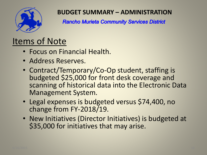

### **BUDGET SUMMARY – ADMINISTRATION**

**Rancho Murieta Community Services District** 

- Focus on Financial Health.
- Address Reserves.
- Contract/Temporary/Co-Op student, staffing is budgeted \$25,000 for front desk coverage and scanning of historical data into the Electronic Data Management System.
- Legal expenses is budgeted versus \$74,400, no change from FY-2018/19.
- New Initiatives (Director Initiatives) is budgeted at \$35,000 for initiatives that may arise.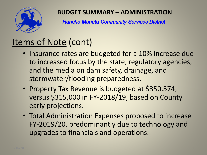

### **BUDGET SUMMARY – ADMINISTRATION**

**Rancho Murieta Community Services District** 

### Items of Note (cont)

- Insurance rates are budgeted for a 10% increase due to increased focus by the state, regulatory agencies, and the media on dam safety, drainage, and stormwater/flooding preparedness.
- Property Tax Revenue is budgeted at \$350,574, versus \$315,000 in FY-2018/19, based on County early projections.
- Total Administration Expenses proposed to increase FY-2019/20, predominantly due to technology and upgrades to financials and operations.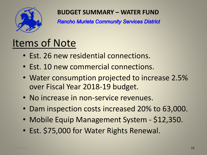

#### **BUDGET SUMMARY – WATER FUND**

**Rancho Murieta Community Services District** 

- Est. 26 new residential connections.
- Est. 10 new commercial connections.
- Water consumption projected to increase 2.5% over Fiscal Year 2018-19 budget.
- No increase in non-service revenues.
- Dam inspection costs increased 20% to 63,000.
- Mobile Equip Management System \$12,350.
- Est. \$75,000 for Water Rights Renewal.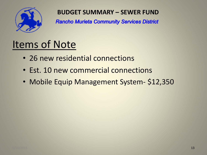

### **BUDGET SUMMARY – SEWER FUND**

**Rancho Murieta Community Services District** 

- 26 new residential connections
- Est. 10 new commercial connections
- Mobile Equip Management System- \$12,350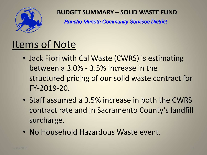

#### **BUDGET SUMMARY – SOLID WASTE FUND**

**Rancho Murieta Community Services District** 

- Jack Fiori with Cal Waste (CWRS) is estimating between a 3.0% - 3.5% increase in the structured pricing of our solid waste contract for FY-2019-20.
- Staff assumed a 3.5% increase in both the CWRS contract rate and in Sacramento County's landfill surcharge.
- No Household Hazardous Waste event.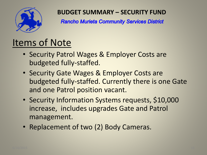

### **BUDGET SUMMARY – SECURITY FUND**

**Rancho Murieta Community Services District** 

- Security Patrol Wages & Employer Costs are budgeted fully-staffed.
- Security Gate Wages & Employer Costs are budgeted fully-staffed. Currently there is one Gate and one Patrol position vacant.
- Security Information Systems requests, \$10,000 increase, includes upgrades Gate and Patrol management.
- Replacement of two (2) Body Cameras.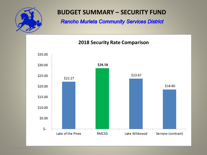

### **BUDGET SUMMARY – SECURITY FUND**

**Rancho Murieta Community Services District** 

**2018 Security Rate Comparison** 

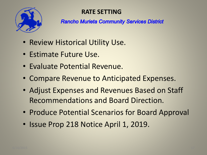

### **RATE SETTING**

**Rancho Murieta Community Services District** 

- Review Historical Utility Use.
- Estimate Future Use.
- Evaluate Potential Revenue.
- Compare Revenue to Anticipated Expenses.
- Adjust Expenses and Revenues Based on Staff Recommendations and Board Direction.
- Produce Potential Scenarios for Board Approval
- Issue Prop 218 Notice April 1, 2019.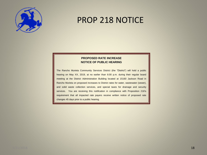

### PROP 218 NOTICE

#### **PROPOSED RATE INCREASE NOTICE OF PUBLIC HEARING**

The Rancho Murieta Community Services District (the "District") will hold a public hearing on May XX, 2019, at no earlier than 6:00 p.m. during their regular board meeting at the District Administration Building located at 15160 Jackson Road in Rancho Murieta on proposed increases to District rates for water, wastewater (sewer), and solid waste collection services, and special taxes for drainage and security services. You are receiving this notification in compliance with Proposition 218's requirement that all impacted rate payers receive written notice of proposed rate changes 45 days prior to a public hearing.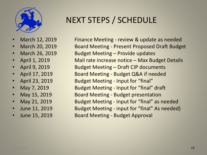

- 
- 
- 
- 
- 
- 
- 
- 
- 
- 
- 
- 

### NEXT STEPS / SCHEDULE

• March 12, 2019 Finance Meeting - review & update as needed • March 20, 2019 Board Meeting - Present Proposed Draft Budget March 26, 2019 Budget Meeting – Provide updates • April 1, 2019 Mail rate increase notice – Max Budget Details • April 9, 2019 Budget Meeting – Draft CIP documents • April 17, 2019 Board Meeting - Budget Q&A if needed • April 23, 2019 Budget Meeting - Input for "final" • May 7, 2019 **Budget Meeting - Input for "final" draft** May 15, 2019 **Board Meeting - Budget presentation** • May 21, 2019 Budget Meeting - Input for "final" as needed • June 11, 2019 Budget Meeting - input for "final" As needed) • June 15, 2019 Board Meeting - Budget Approval